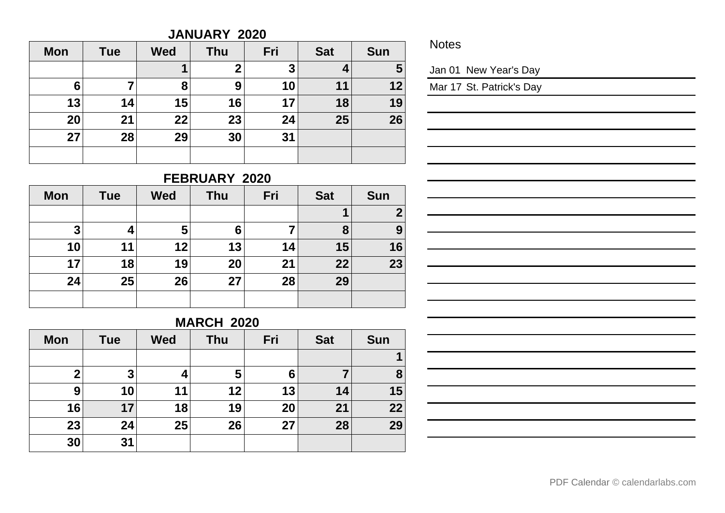#### **JANUARY 2020**

| <b>Mon</b> | <b>Tue</b> | <b>Wed</b> | <b>Thu</b> | Fri | <b>Sat</b>     | <b>Sun</b>              |
|------------|------------|------------|------------|-----|----------------|-------------------------|
|            |            | 1          | າ          | 3   | $\overline{a}$ | $\overline{\mathbf{5}}$ |
| 6          | 7          | 8          | 9          | 10  | 11             | 12                      |
| 13         | 14         | 15         | 16         | 17  | 18             | 19                      |
| 20         | 21         | 22         | 23         | 24  | 25             | 26                      |
| 27         | 28         | 29         | 30         | 31  |                |                         |
|            |            |            |            |     |                |                         |

**Notes** 

Jan 01 New Year's Day

Mar 17 St. Patrick's Day

# **FEBRUARY 2020**

| <b>Mon</b> | <b>Tue</b> | <b>Wed</b> | <b>Thu</b> | Fri | <b>Sat</b> | <b>Sun</b>  |
|------------|------------|------------|------------|-----|------------|-------------|
|            |            |            |            |     | 1          | $\mathbf 2$ |
| 3          | 4          | 5          | 6          |     | 8          | 9           |
| 10         | 11         | 12         | 13         | 14  | 15         | 16          |
| 17         | 18         | 19         | 20         | 21  | 22         | 23          |
| 24         | 25         | 26         | 27         | 28  | 29         |             |
|            |            |            |            |     |            |             |

## **MARCH 2020**

| <b>Mon</b> | <b>Tue</b> | <b>Wed</b> | <b>Thu</b> | Fri | <b>Sat</b> | <b>Sun</b> |
|------------|------------|------------|------------|-----|------------|------------|
|            |            |            |            |     |            |            |
| 2          | 3          |            | 5          | 6   |            | 8          |
| 9          | 10         | 11         | 12         | 13  | 14         | 15         |
| 16         | 17         | 18         | 19         | 20  | 21         | 22         |
| 23         | 24         | 25         | 26         | 27  | 28         | 29         |
| 30         | 31         |            |            |     |            |            |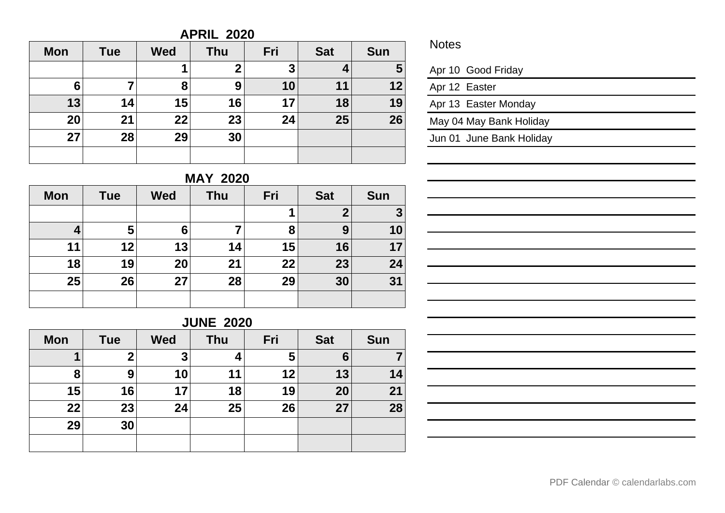## **APRIL 2020**

| <b>Mon</b> | <b>Tue</b> | <b>Wed</b> | <b>Thu</b> | Fri | <b>Sat</b> | <b>Sun</b> |
|------------|------------|------------|------------|-----|------------|------------|
|            |            |            | າ          | 3   | 4          | 5          |
| 6          | 7          | 8          | 9          | 10  | 11         | 12         |
| 13         | 14         | 15         | 16         | 17  | 18         | 19         |
| 20         | 21         | 22         | 23         | 24  | 25         | 26         |
| 27         | 28         | 29         | 30         |     |            |            |
|            |            |            |            |     |            |            |

## **MAY 2020**

| <b>Mon</b> | <b>Tue</b> | <b>Wed</b> | <b>Thu</b> | Fri | <b>Sat</b> | <b>Sun</b> |
|------------|------------|------------|------------|-----|------------|------------|
|            |            |            |            | 1   | 2          | 3          |
| 4          | 5          | 6          |            | 8   | 9          | 10         |
| 11         | 12         | 13         | 14         | 15  | 16         | 17         |
| 18         | 19         | 20         | 21         | 22  | 23         | 24         |
| 25         | 26         | 27         | 28         | 29  | 30         | 31         |
|            |            |            |            |     |            |            |

## **JUNE 2020**

| <b>Mon</b> | <b>Tue</b> | <b>Wed</b> | Thu | Fri | <b>Sat</b> | <b>Sun</b> |
|------------|------------|------------|-----|-----|------------|------------|
| и          | 2          | 3          |     | 5   | 6          |            |
| 8          | 9          | 10         | 11  | 12  | 13         | 14         |
| 15         | 16         | 17         | 18  | 19  | 20         | 21         |
| 22         | 23         | 24         | 25  | 26  | 27         | 28         |
| 29         | 30         |            |     |     |            |            |
|            |            |            |     |     |            |            |

## **Notes**

|  |  |  | Apr 10 Good Friday |
|--|--|--|--------------------|
|--|--|--|--------------------|

| Apr 12 Easter |                      |
|---------------|----------------------|
|               | Apr 13 Easter Monday |

May 04 May Bank Holiday

Jun 01 June Bank Holiday

| <u> 1980 - Johann Stein, marwolaethau a bhann an t-Amhair an t-Amhair an t-Amhair an t-Amhair an t-Amhair an t-A</u>                                                  |  |
|-----------------------------------------------------------------------------------------------------------------------------------------------------------------------|--|
| ,我们也不会有一个人的人,我们也不会有一个人的人,我们也不会有一个人的人。""我们,我们也不会有一个人的人,我们也不会有一个人的人,我们也不会有一个人的人,我们                                                                                      |  |
|                                                                                                                                                                       |  |
| 的,我们也不会有一个人的事情。""我们的人们,我们也不会有一个人的人,我们也不会有一个人的人,我们也不会有一个人的人,我们也不会有一个人的人,我们也不会有一个人的<br>第二百一章 第二百一章 第二百一章 第二百一章 第二百一章 第二百一章 第二百一章 第二百一章 第二百一章 第二百一章 第二百一章 第二百一章 第二百一章 第二 |  |
|                                                                                                                                                                       |  |
| <u> 1989 - Andrea Santa Andrea Andrea Andrea Andrea Andrea Andrea Andrea Andrea Andrea Andrea Andrea Andrea Andr</u>                                                  |  |
|                                                                                                                                                                       |  |
|                                                                                                                                                                       |  |
|                                                                                                                                                                       |  |
|                                                                                                                                                                       |  |
| <u> 1989 - Andrea Andrew Maria (h. 1989).</u>                                                                                                                         |  |
|                                                                                                                                                                       |  |
|                                                                                                                                                                       |  |
|                                                                                                                                                                       |  |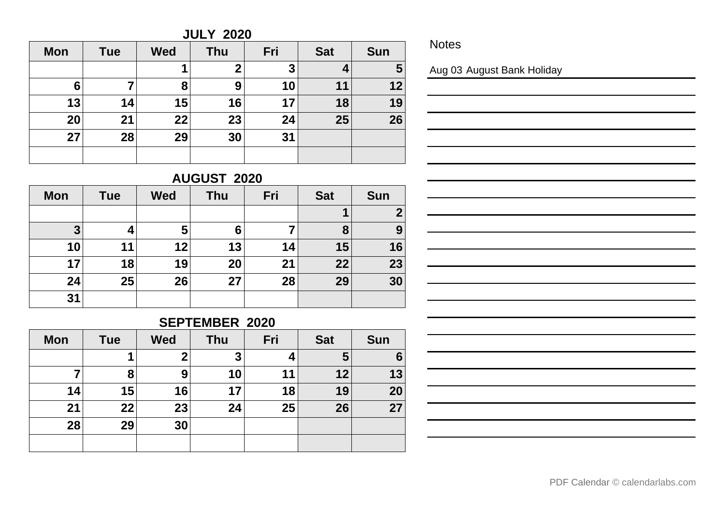#### **JULY 2020**

| <b>Mon</b> | <b>Tue</b> | <b>Wed</b> | <b>Thu</b> | Fri | <b>Sat</b> | <b>Sun</b> |
|------------|------------|------------|------------|-----|------------|------------|
|            |            |            | 2          | 3   | 4          | 5          |
| 6          | 7          | 8          | 9          | 10  | 11         | 12         |
| 13         | 14         | 15         | 16         | 17  | 18         | 19         |
| 20         | 21         | 22         | 23         | 24  | 25         | 26         |
| 27         | 28         | 29         | 30         | 31  |            |            |
|            |            |            |            |     |            |            |

**Notes** 

Aug 03 August Bank Holiday

# **AUGUST 2020**

| <b>Mon</b> | <b>Tue</b> | <b>Wed</b> | <b>Thu</b> | Fri | <b>Sat</b> | <b>Sun</b> |
|------------|------------|------------|------------|-----|------------|------------|
|            |            |            |            |     |            | 2          |
| 3          | 4          | 5          | 6          |     | 8          | 9          |
| 10         | 11         | 12         | 13         | 14  | 15         | 16         |
| 17         | 18         | 19         | 20         | 21  | 22         | 23         |
| 24         | 25         | 26         | 27         | 28  | 29         | 30         |
| 31         |            |            |            |     |            |            |

## **SEPTEMBER 2020**

| <b>Mon</b> | <b>Tue</b> | <b>Wed</b>  | <b>Thu</b> | Fri | <b>Sat</b> | <b>Sun</b> |
|------------|------------|-------------|------------|-----|------------|------------|
|            | 1          | $\mathbf 2$ | 3          | 4   | 5          | 6          |
|            | 8          | 9           | 10         | 11  | 12         | 13         |
| 14         | 15         | 16          | 17         | 18  | 19         | 20         |
| 21         | 22         | 23          | 24         | 25  | 26         | 27         |
| 28         | 29         | 30          |            |     |            |            |
|            |            |             |            |     |            |            |